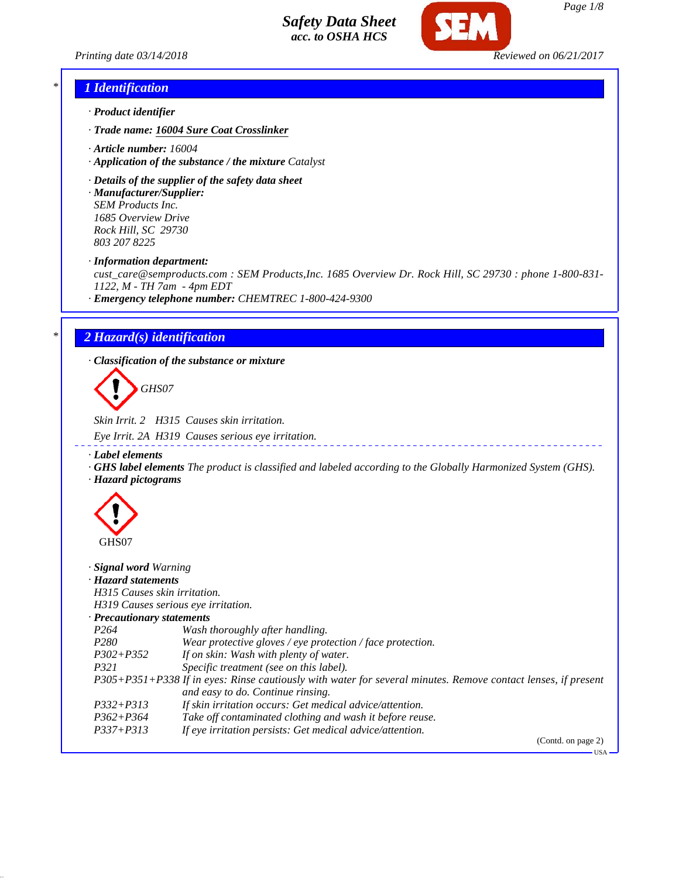*Printing date 03/14/2018 Reviewed on 06/21/2017*



# *\* 1 Identification*

- *· Product identifier*
- *· Trade name: 16004 Sure Coat Crosslinker*
- *· Article number: 16004*
- *· Application of the substance / the mixture Catalyst*
- *· Details of the supplier of the safety data sheet*

*· Manufacturer/Supplier: SEM Products Inc. 1685 Overview Drive Rock Hill, SC 29730 803 207 8225*

*· Information department:*

*cust\_care@semproducts.com : SEM Products,Inc. 1685 Overview Dr. Rock Hill, SC 29730 : phone 1-800-831- 1122, M - TH 7am - 4pm EDT*

*· Emergency telephone number: CHEMTREC 1-800-424-9300*

## *\* 2 Hazard(s) identification*

*· Classification of the substance or mixture*

*GHS07*

*Skin Irrit. 2 H315 Causes skin irritation.*

*Eye Irrit. 2A H319 Causes serious eye irritation.*

*· Label elements*

*· GHS label elements The product is classified and labeled according to the Globally Harmonized System (GHS). · Hazard pictograms*



| Signal word Warning<br>· Hazard statements<br>H315 Causes skin irritation.                                                                         |                                                            |  |
|----------------------------------------------------------------------------------------------------------------------------------------------------|------------------------------------------------------------|--|
| H319 Causes serious eye irritation.<br>$\cdot$ Precautionary statements                                                                            |                                                            |  |
| P <sub>264</sub>                                                                                                                                   | Wash thoroughly after handling.                            |  |
| P <sub>280</sub>                                                                                                                                   | Wear protective gloves / eye protection / face protection. |  |
| $P302 + P352$                                                                                                                                      | If on skin: Wash with plenty of water.                     |  |
| P321                                                                                                                                               | Specific treatment (see on this label).                    |  |
| P305+P351+P338 If in eyes: Rinse cautiously with water for several minutes. Remove contact lenses, if present<br>and easy to do. Continue rinsing. |                                                            |  |
| $P332 + P313$                                                                                                                                      | If skin irritation occurs: Get medical advice/attention.   |  |
| $P362 + P364$                                                                                                                                      | Take off contaminated clothing and wash it before reuse.   |  |
| $P337 + P313$                                                                                                                                      | If eye irritation persists: Get medical advice/attention.  |  |
|                                                                                                                                                    | (Contd. on page 2)                                         |  |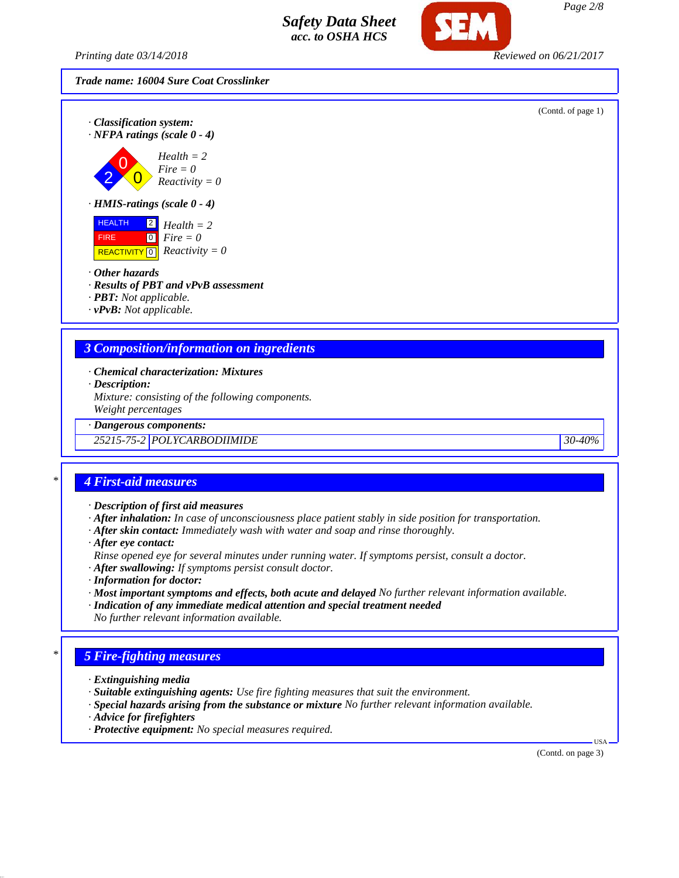*Printing date 03/14/2018 Reviewed on 06/21/2017*

### *Trade name: 16004 Sure Coat Crosslinker*



- *· Chemical characterization: Mixtures*
- *· Description:*

*Mixture: consisting of the following components. Weight percentages*

*· Dangerous components:*

*25215-75-2 POLYCARBODIIMIDE 30-40%*

## *\* 4 First-aid measures*

*· Description of first aid measures*

*· After inhalation: In case of unconsciousness place patient stably in side position for transportation.*

- *· After skin contact: Immediately wash with water and soap and rinse thoroughly.*
- *· After eye contact:*
- *Rinse opened eye for several minutes under running water. If symptoms persist, consult a doctor.*
- *· After swallowing: If symptoms persist consult doctor.*
- *· Information for doctor:*
- *· Most important symptoms and effects, both acute and delayed No further relevant information available.*
- *· Indication of any immediate medical attention and special treatment needed No further relevant information available.*

## *\* 5 Fire-fighting measures*

- *· Extinguishing media*
- *· Suitable extinguishing agents: Use fire fighting measures that suit the environment.*
- *· Special hazards arising from the substance or mixture No further relevant information available.*
- *· Advice for firefighters*
- *· Protective equipment: No special measures required.*

(Contd. on page 3)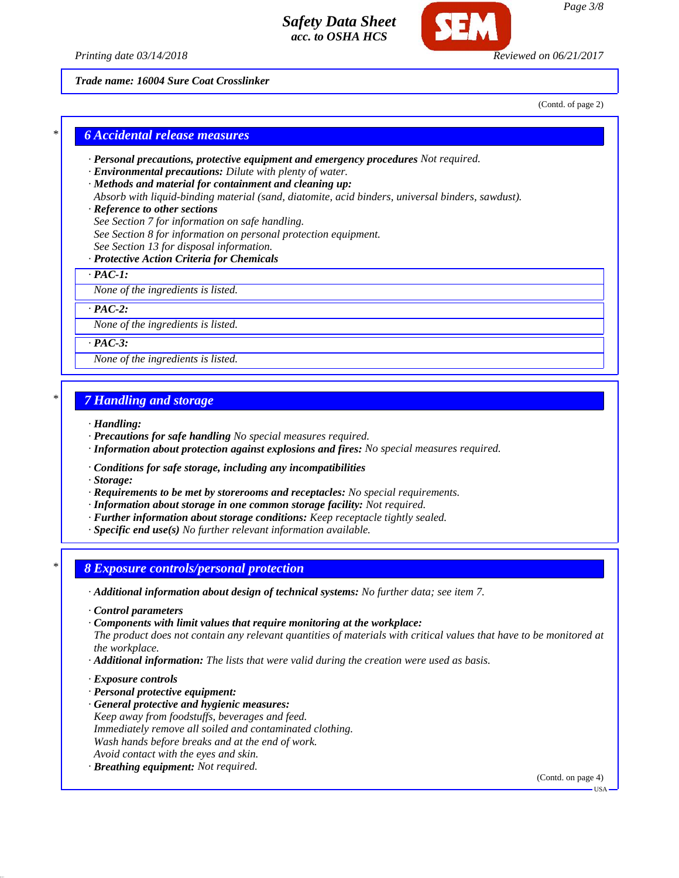



*Trade name: 16004 Sure Coat Crosslinker*

(Contd. of page 2)

*Page 3/8*

# *\* 6 Accidental release measures*

- *· Personal precautions, protective equipment and emergency procedures Not required.*
- *· Environmental precautions: Dilute with plenty of water.*
- *· Methods and material for containment and cleaning up:*
- *Absorb with liquid-binding material (sand, diatomite, acid binders, universal binders, sawdust).*

#### *· Reference to other sections*

- *See Section 7 for information on safe handling.*
- *See Section 8 for information on personal protection equipment.*
- *See Section 13 for disposal information.*

#### *· Protective Action Criteria for Chemicals*

*· PAC-1:*

*None of the ingredients is listed.*

*· PAC-2:*

*None of the ingredients is listed.*

*· PAC-3:*

*None of the ingredients is listed.*

### *\* 7 Handling and storage*

*· Handling:*

- *· Precautions for safe handling No special measures required.*
- *· Information about protection against explosions and fires: No special measures required.*
- *· Conditions for safe storage, including any incompatibilities*
- *· Storage:*
- *· Requirements to be met by storerooms and receptacles: No special requirements.*
- *· Information about storage in one common storage facility: Not required.*
- *· Further information about storage conditions: Keep receptacle tightly sealed.*
- *· Specific end use(s) No further relevant information available.*

### *\* 8 Exposure controls/personal protection*

- *· Additional information about design of technical systems: No further data; see item 7.*
- *· Control parameters*
- *· Components with limit values that require monitoring at the workplace:*

*The product does not contain any relevant quantities of materials with critical values that have to be monitored at the workplace.*

- *· Additional information: The lists that were valid during the creation were used as basis.*
- *· Exposure controls*
- *· Personal protective equipment:*
- *· General protective and hygienic measures: Keep away from foodstuffs, beverages and feed. Immediately remove all soiled and contaminated clothing. Wash hands before breaks and at the end of work. Avoid contact with the eyes and skin.*
- *· Breathing equipment: Not required.*

(Contd. on page 4)

USA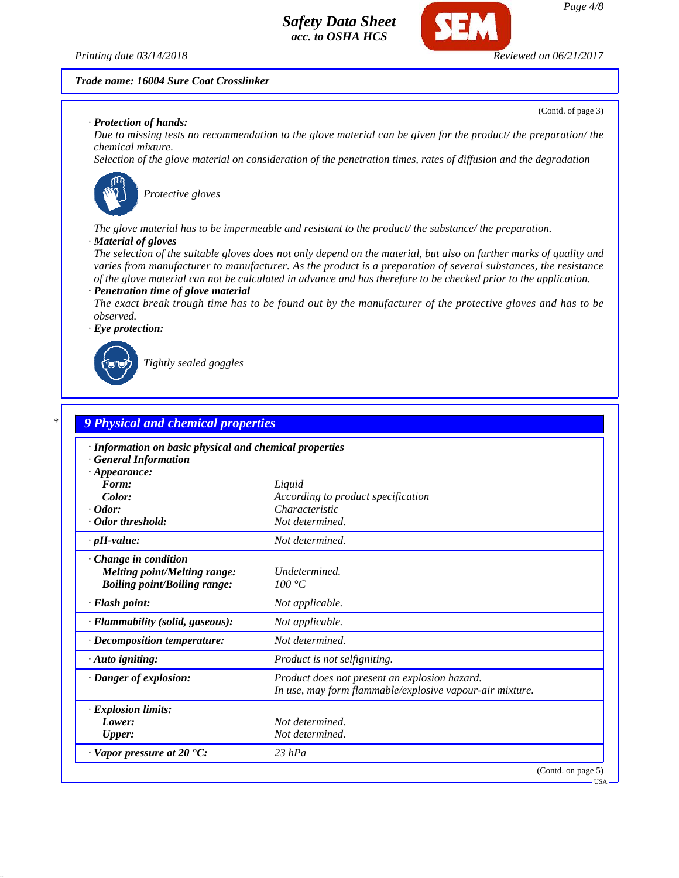*Printing date 03/14/2018 Reviewed on 06/21/2017*

(Contd. of page 3)

#### *Trade name: 16004 Sure Coat Crosslinker*

#### *· Protection of hands:*

*Due to missing tests no recommendation to the glove material can be given for the product/ the preparation/ the chemical mixture.*

*Selection of the glove material on consideration of the penetration times, rates of diffusion and the degradation*



*Protective gloves*

*The glove material has to be impermeable and resistant to the product/ the substance/ the preparation.*

#### *· Material of gloves*

*The selection of the suitable gloves does not only depend on the material, but also on further marks of quality and varies from manufacturer to manufacturer. As the product is a preparation of several substances, the resistance of the glove material can not be calculated in advance and has therefore to be checked prior to the application. · Penetration time of glove material*

*The exact break trough time has to be found out by the manufacturer of the protective gloves and has to be observed.*

*· Eye protection:*



*Tightly sealed goggles*

| · Information on basic physical and chemical properties |                                                          |
|---------------------------------------------------------|----------------------------------------------------------|
| <b>General Information</b>                              |                                                          |
| $\cdot$ Appearance:                                     |                                                          |
| Form:                                                   | Liquid                                                   |
| Color:                                                  | According to product specification                       |
| $\cdot$ Odor:                                           | Characteristic                                           |
| · Odor threshold:                                       | Not determined.                                          |
| $\cdot$ pH-value:                                       | Not determined.                                          |
| Change in condition                                     |                                                          |
| <b>Melting point/Melting range:</b>                     | Undetermined.                                            |
| <b>Boiling point/Boiling range:</b>                     | 100 °C                                                   |
| · Flash point:                                          | Not applicable.                                          |
| · Flammability (solid, gaseous):                        | Not applicable.                                          |
| $\cdot$ Decomposition temperature:                      | Not determined.                                          |
| $\cdot$ Auto igniting:                                  | Product is not selfigniting.                             |
| · Danger of explosion:                                  | Product does not present an explosion hazard.            |
|                                                         | In use, may form flammable/explosive vapour-air mixture. |
| · Explosion limits:                                     |                                                          |
| Lower:                                                  | Not determined.                                          |
| <b>Upper:</b>                                           | Not determined.                                          |
| · Vapor pressure at 20 °C:                              | $23$ hPa                                                 |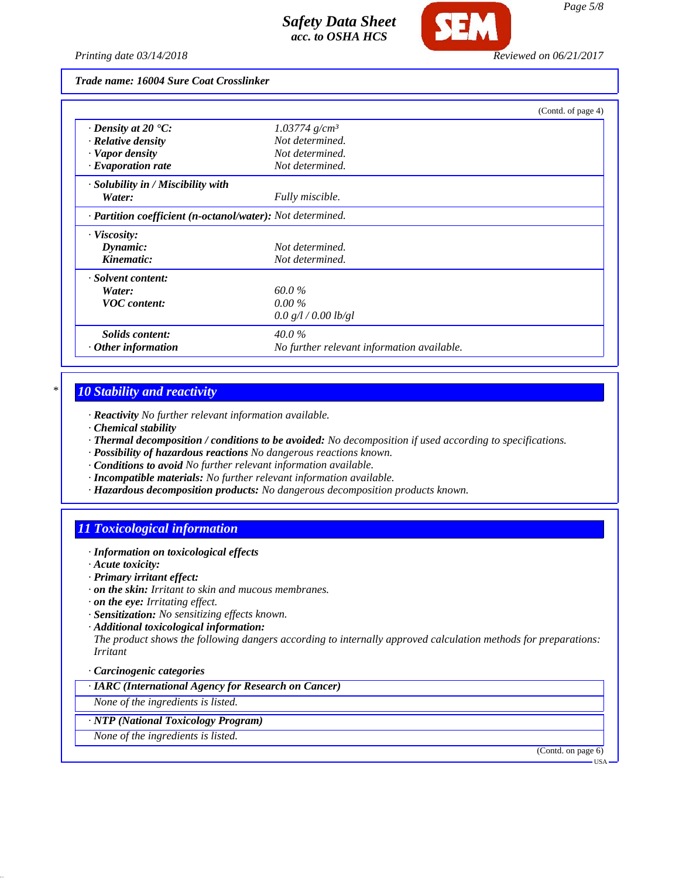

*Trade name: 16004 Sure Coat Crosslinker*

|                                                            |                                            | (Contd. of page 4) |
|------------------------------------------------------------|--------------------------------------------|--------------------|
| $\cdot$ Density at 20 $\textdegree$ C:                     | $1.03774$ g/cm <sup>3</sup>                |                    |
| $\cdot$ Relative density                                   | Not determined.                            |                    |
| · Vapor density                                            | Not determined.                            |                    |
| $\cdot$ Evaporation rate                                   | Not determined.                            |                    |
| · Solubility in / Miscibility with                         |                                            |                    |
| Water:                                                     | Fully miscible.                            |                    |
| · Partition coefficient (n-octanol/water): Not determined. |                                            |                    |
| · Viscosity:                                               |                                            |                    |
| Dynamic:                                                   | Not determined.                            |                    |
| Kinematic:                                                 | Not determined.                            |                    |
| · Solvent content:                                         |                                            |                    |
| Water:                                                     | 60.0%                                      |                    |
| <b>VOC</b> content:                                        | $0.00\%$                                   |                    |
|                                                            | 0.0 g/l / 0.00 lb/gl                       |                    |
| Solids content:                                            | $40.0\%$                                   |                    |
| $\cdot$ Other information                                  | No further relevant information available. |                    |

## *\* 10 Stability and reactivity*

- *· Reactivity No further relevant information available.*
- *· Chemical stability*
- *· Thermal decomposition / conditions to be avoided: No decomposition if used according to specifications.*
- *· Possibility of hazardous reactions No dangerous reactions known.*
- *· Conditions to avoid No further relevant information available.*
- *· Incompatible materials: No further relevant information available.*
- *· Hazardous decomposition products: No dangerous decomposition products known.*

## *11 Toxicological information*

- *· Information on toxicological effects*
- *· Acute toxicity:*
- *· Primary irritant effect:*
- *· on the skin: Irritant to skin and mucous membranes.*
- *· on the eye: Irritating effect.*
- *· Sensitization: No sensitizing effects known.*
- *· Additional toxicological information:*

*The product shows the following dangers according to internally approved calculation methods for preparations: Irritant*

- *· Carcinogenic categories*
- *· IARC (International Agency for Research on Cancer)*
- *None of the ingredients is listed.*

#### *· NTP (National Toxicology Program)*

*None of the ingredients is listed.*

(Contd. on page 6)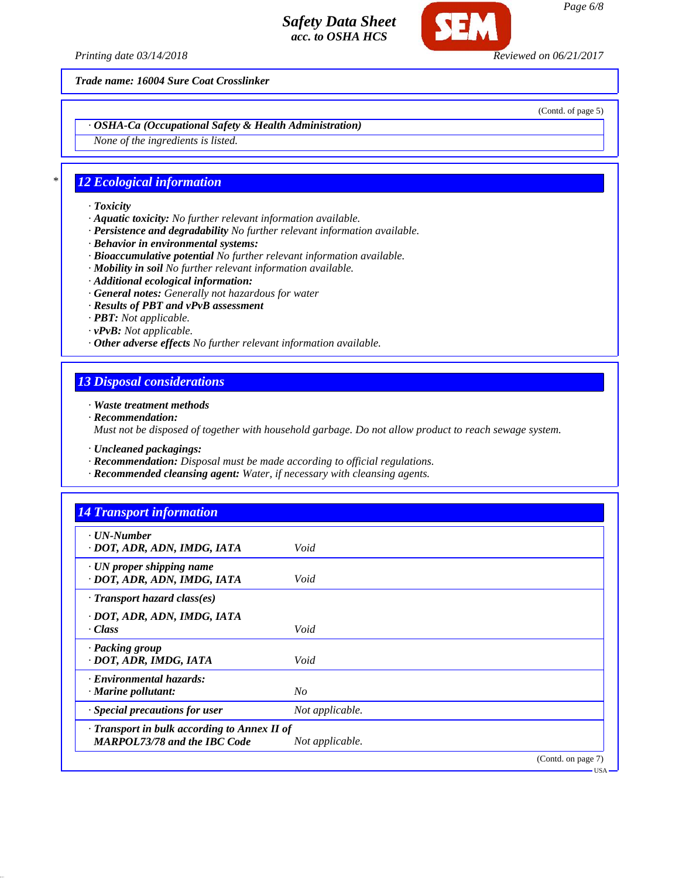*Printing date 03/14/2018 Reviewed on 06/21/2017*

*Trade name: 16004 Sure Coat Crosslinker*

(Contd. of page 5)

*· OSHA-Ca (Occupational Safety & Health Administration)*

*None of the ingredients is listed.*

# *\* 12 Ecological information*

- *· Toxicity*
- *· Aquatic toxicity: No further relevant information available.*
- *· Persistence and degradability No further relevant information available.*
- *· Behavior in environmental systems:*
- *· Bioaccumulative potential No further relevant information available.*
- *· Mobility in soil No further relevant information available.*
- *· Additional ecological information:*
- *· General notes: Generally not hazardous for water*
- *· Results of PBT and vPvB assessment*
- *· PBT: Not applicable.*
- *· vPvB: Not applicable.*
- *· Other adverse effects No further relevant information available.*

## *13 Disposal considerations*

*· Waste treatment methods*

- *· Recommendation: Must not be disposed of together with household garbage. Do not allow product to reach sewage system.*
- *· Uncleaned packagings:*
- *· Recommendation: Disposal must be made according to official regulations.*
- *· Recommended cleansing agent: Water, if necessary with cleansing agents.*

| <b>14 Transport information</b>                                                     |                 |                    |
|-------------------------------------------------------------------------------------|-----------------|--------------------|
| $\cdot$ UN-Number<br>· DOT, ADR, ADN, IMDG, IATA                                    | Void            |                    |
| $\cdot$ UN proper shipping name<br>· DOT, ADR, ADN, IMDG, IATA                      | Void            |                    |
| $\cdot$ Transport hazard class(es)                                                  |                 |                    |
| · DOT, ADR, ADN, IMDG, IATA<br>$\cdot Class$                                        | Void            |                    |
| · Packing group<br>· DOT, ADR, IMDG, IATA                                           | Void            |                    |
| · Environmental hazards:<br>$\cdot$ Marine pollutant:                               | No              |                    |
| · Special precautions for user                                                      | Not applicable. |                    |
| · Transport in bulk according to Annex II of<br><b>MARPOL73/78 and the IBC Code</b> | Not applicable. |                    |
|                                                                                     |                 | (Contd. on page 7) |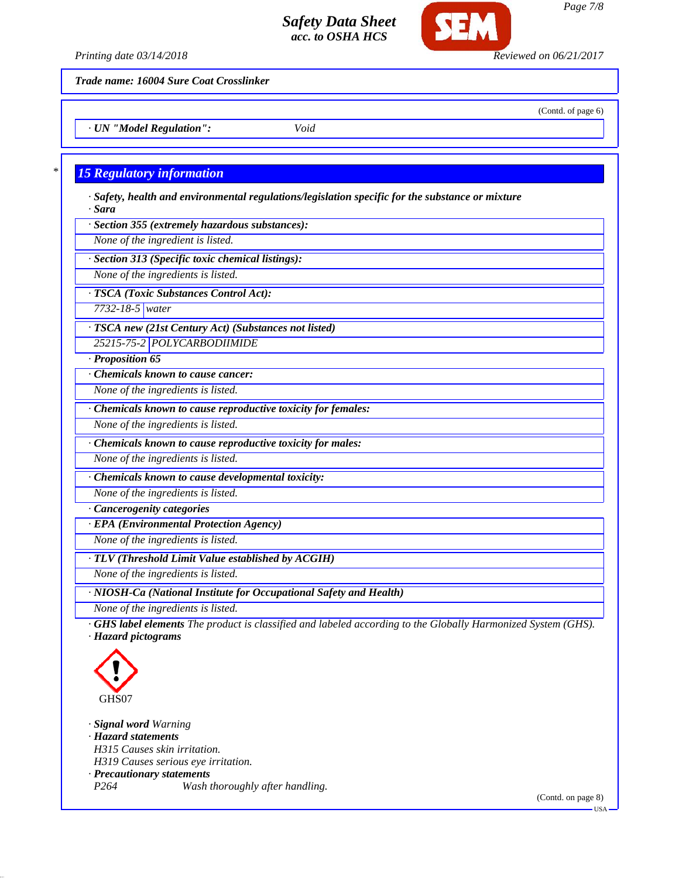

*Printing date 03/14/2018 Reviewed on 06/21/2017*

(Contd. of page 6)

*Trade name: 16004 Sure Coat Crosslinker*

*· UN "Model Regulation": Void*

# *\* 15 Regulatory information*

- *· Safety, health and environmental regulations/legislation specific for the substance or mixture · Sara*
- *· Section 355 (extremely hazardous substances):*
- *None of the ingredient is listed.*
- *· Section 313 (Specific toxic chemical listings):*
- *None of the ingredients is listed.*
- *· TSCA (Toxic Substances Control Act):*
- *7732-18-5 water*
- *· TSCA new (21st Century Act) (Substances not listed)*
- *25215-75-2 POLYCARBODIIMIDE*
- *· Proposition 65*
- *· Chemicals known to cause cancer:*
- *None of the ingredients is listed.*
- *· Chemicals known to cause reproductive toxicity for females:*
- *None of the ingredients is listed.*
- *· Chemicals known to cause reproductive toxicity for males:*
- *None of the ingredients is listed.*
- *· Chemicals known to cause developmental toxicity:*
- *None of the ingredients is listed.*
- *· Cancerogenity categories*
- *· EPA (Environmental Protection Agency)*
- *None of the ingredients is listed.*
- *· TLV (Threshold Limit Value established by ACGIH)*
- *None of the ingredients is listed.*
- *· NIOSH-Ca (National Institute for Occupational Safety and Health)*
- *None of the ingredients is listed.*
- *· GHS label elements The product is classified and labeled according to the Globally Harmonized System (GHS). · Hazard pictograms*



- *· Signal word Warning*
- *· Hazard statements*
- *H315 Causes skin irritation. H319 Causes serious eye irritation.*
- *· Precautionary statements*
- *P264 Wash thoroughly after handling.*

(Contd. on page 8)